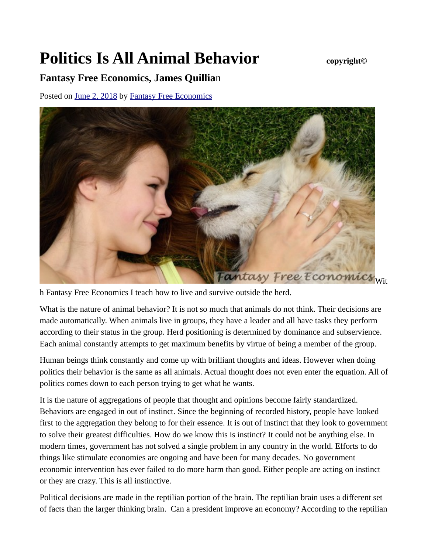## **Politics Is All Animal Behavior** *copyright©*

## **Fantasy Free Economics, James Quillia**n

Posted on [June 2, 2018](http://quillian.net/blog/politics-and-animal-behavior/) by [Fantasy Free Economics](http://quillian.net/blog/author/james-quillian/)



h Fantasy Free Economics I teach how to live and survive outside the herd.

What is the nature of animal behavior? It is not so much that animals do not think. Their decisions are made automatically. When animals live in groups, they have a leader and all have tasks they perform according to their status in the group. Herd positioning is determined by dominance and subservience. Each animal constantly attempts to get maximum benefits by virtue of being a member of the group.

Human beings think constantly and come up with brilliant thoughts and ideas. However when doing politics their behavior is the same as all animals. Actual thought does not even enter the equation. All of politics comes down to each person trying to get what he wants.

It is the nature of aggregations of people that thought and opinions become fairly standardized. Behaviors are engaged in out of instinct. Since the beginning of recorded history, people have looked first to the aggregation they belong to for their essence. It is out of instinct that they look to government to solve their greatest difficulties. How do we know this is instinct? It could not be anything else. In modern times, government has not solved a single problem in any country in the world. Efforts to do things like stimulate economies are ongoing and have been for many decades. No government economic intervention has ever failed to do more harm than good. Either people are acting on instinct or they are crazy. This is all instinctive.

Political decisions are made in the reptilian portion of the brain. The reptilian brain uses a different set of facts than the larger thinking brain. Can a president improve an economy? According to the reptilian